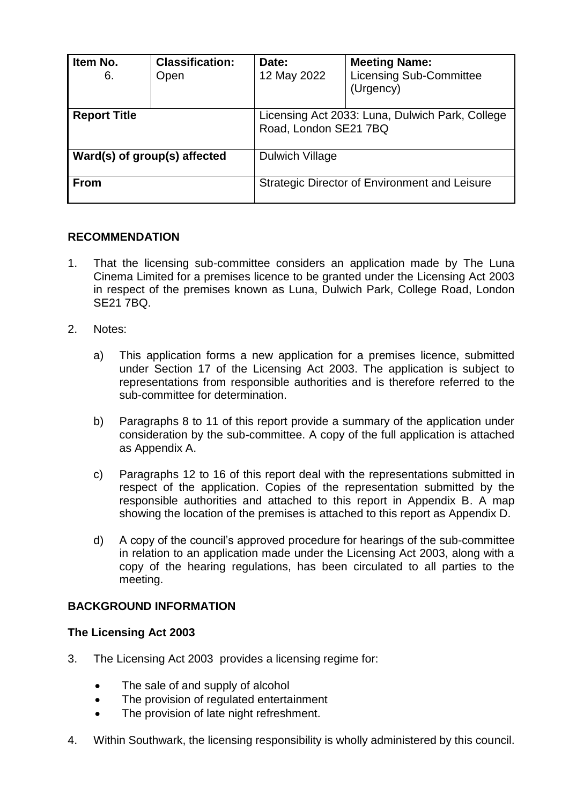| Item No.<br>6.               | <b>Classification:</b><br>Open | Date:<br>12 May 2022                                                     | <b>Meeting Name:</b><br><b>Licensing Sub-Committee</b><br>(Urgency) |
|------------------------------|--------------------------------|--------------------------------------------------------------------------|---------------------------------------------------------------------|
| <b>Report Title</b>          |                                | Licensing Act 2033: Luna, Dulwich Park, College<br>Road, London SE21 7BQ |                                                                     |
| Ward(s) of group(s) affected |                                | Dulwich Village                                                          |                                                                     |
| <b>From</b>                  |                                | Strategic Director of Environment and Leisure                            |                                                                     |

## **RECOMMENDATION**

- 1. That the licensing sub-committee considers an application made by The Luna Cinema Limited for a premises licence to be granted under the Licensing Act 2003 in respect of the premises known as Luna, Dulwich Park, College Road, London SE21 7BQ.
- 2. Notes:
	- a) This application forms a new application for a premises licence, submitted under Section 17 of the Licensing Act 2003. The application is subject to representations from responsible authorities and is therefore referred to the sub-committee for determination.
	- b) Paragraphs 8 to 11 of this report provide a summary of the application under consideration by the sub-committee. A copy of the full application is attached as Appendix A.
	- c) Paragraphs 12 to 16 of this report deal with the representations submitted in respect of the application. Copies of the representation submitted by the responsible authorities and attached to this report in Appendix B. A map showing the location of the premises is attached to this report as Appendix D.
	- d) A copy of the council's approved procedure for hearings of the sub-committee in relation to an application made under the Licensing Act 2003, along with a copy of the hearing regulations, has been circulated to all parties to the meeting.

### **BACKGROUND INFORMATION**

#### **The Licensing Act 2003**

- 3. The Licensing Act 2003 provides a licensing regime for:
	- The sale of and supply of alcohol
	- The provision of regulated entertainment
	- The provision of late night refreshment.
- 4. Within Southwark, the licensing responsibility is wholly administered by this council.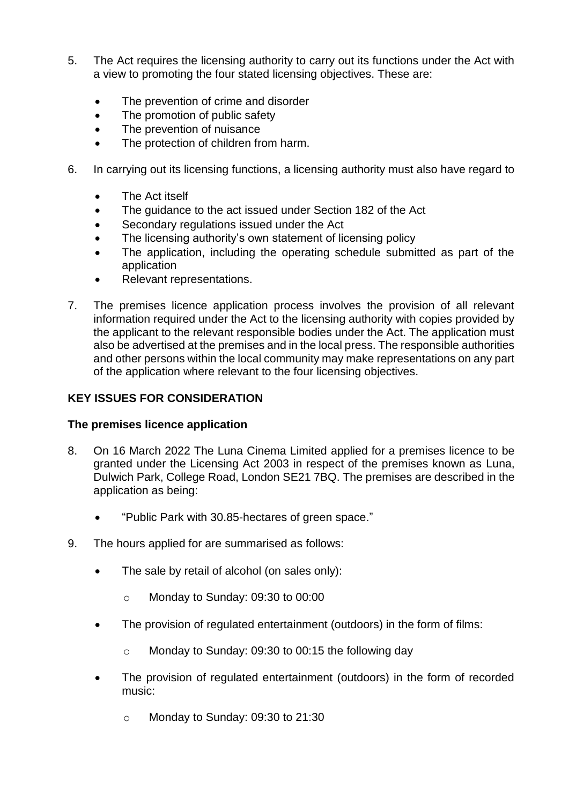- 5. The Act requires the licensing authority to carry out its functions under the Act with a view to promoting the four stated licensing objectives. These are:
	- The prevention of crime and disorder
	- The promotion of public safety
	- The prevention of nuisance
	- The protection of children from harm.
- 6. In carrying out its licensing functions, a licensing authority must also have regard to
	- The Act itself
	- The guidance to the act issued under Section 182 of the Act
	- Secondary regulations issued under the Act
	- The licensing authority's own statement of licensing policy
	- The application, including the operating schedule submitted as part of the application
	- Relevant representations.
- 7. The premises licence application process involves the provision of all relevant information required under the Act to the licensing authority with copies provided by the applicant to the relevant responsible bodies under the Act. The application must also be advertised at the premises and in the local press. The responsible authorities and other persons within the local community may make representations on any part of the application where relevant to the four licensing objectives.

# **KEY ISSUES FOR CONSIDERATION**

## **The premises licence application**

- 8. On 16 March 2022 The Luna Cinema Limited applied for a premises licence to be granted under the Licensing Act 2003 in respect of the premises known as Luna, Dulwich Park, College Road, London SE21 7BQ. The premises are described in the application as being:
	- "Public Park with 30.85-hectares of green space."
- 9. The hours applied for are summarised as follows:
	- The sale by retail of alcohol (on sales only):
		- o Monday to Sunday: 09:30 to 00:00
	- The provision of regulated entertainment (outdoors) in the form of films:
		- o Monday to Sunday: 09:30 to 00:15 the following day
	- The provision of regulated entertainment (outdoors) in the form of recorded music:
		- o Monday to Sunday: 09:30 to 21:30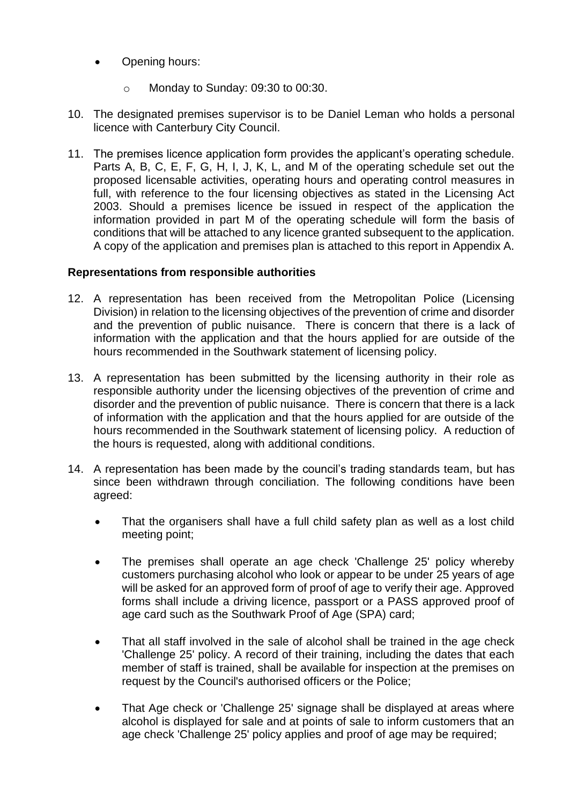- Opening hours:
	- o Monday to Sunday: 09:30 to 00:30.
- 10. The designated premises supervisor is to be Daniel Leman who holds a personal licence with Canterbury City Council.
- 11. The premises licence application form provides the applicant's operating schedule. Parts A, B, C, E, F, G, H, I, J, K, L, and M of the operating schedule set out the proposed licensable activities, operating hours and operating control measures in full, with reference to the four licensing objectives as stated in the Licensing Act 2003. Should a premises licence be issued in respect of the application the information provided in part M of the operating schedule will form the basis of conditions that will be attached to any licence granted subsequent to the application. A copy of the application and premises plan is attached to this report in Appendix A.

### **Representations from responsible authorities**

- 12. A representation has been received from the Metropolitan Police (Licensing Division) in relation to the licensing objectives of the prevention of crime and disorder and the prevention of public nuisance. There is concern that there is a lack of information with the application and that the hours applied for are outside of the hours recommended in the Southwark statement of licensing policy.
- 13. A representation has been submitted by the licensing authority in their role as responsible authority under the licensing objectives of the prevention of crime and disorder and the prevention of public nuisance. There is concern that there is a lack of information with the application and that the hours applied for are outside of the hours recommended in the Southwark statement of licensing policy. A reduction of the hours is requested, along with additional conditions.
- 14. A representation has been made by the council's trading standards team, but has since been withdrawn through conciliation. The following conditions have been agreed:
	- That the organisers shall have a full child safety plan as well as a lost child meeting point;
	- The premises shall operate an age check 'Challenge 25' policy whereby customers purchasing alcohol who look or appear to be under 25 years of age will be asked for an approved form of proof of age to verify their age. Approved forms shall include a driving licence, passport or a PASS approved proof of age card such as the Southwark Proof of Age (SPA) card;
	- That all staff involved in the sale of alcohol shall be trained in the age check 'Challenge 25' policy. A record of their training, including the dates that each member of staff is trained, shall be available for inspection at the premises on request by the Council's authorised officers or the Police;
	- That Age check or 'Challenge 25' signage shall be displayed at areas where alcohol is displayed for sale and at points of sale to inform customers that an age check 'Challenge 25' policy applies and proof of age may be required;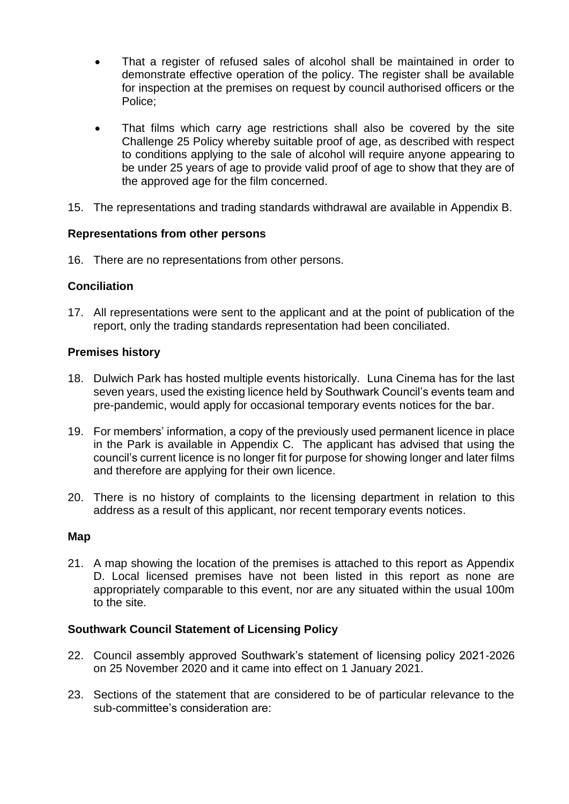- That a register of refused sales of alcohol shall be maintained in order to demonstrate effective operation of the policy. The register shall be available for inspection at the premises on request by council authorised officers or the Police;
- That films which carry age restrictions shall also be covered by the site Challenge 25 Policy whereby suitable proof of age, as described with respect to conditions applying to the sale of alcohol will require anyone appearing to be under 25 years of age to provide valid proof of age to show that they are of the approved age for the film concerned.
- 15. The representations and trading standards withdrawal are available in Appendix B.

### **Representations from other persons**

16. There are no representations from other persons.

### **Conciliation**

17. All representations were sent to the applicant and at the point of publication of the report, only the trading standards representation had been conciliated.

### **Premises history**

- 18. Dulwich Park has hosted multiple events historically. Luna Cinema has for the last seven years, used the existing licence held by Southwark Council's events team and pre-pandemic, would apply for occasional temporary events notices for the bar.
- 19. For members' information, a copy of the previously used permanent licence in place in the Park is available in Appendix C. The applicant has advised that using the council's current licence is no longer fit for purpose for showing longer and later films and therefore are applying for their own licence.
- 20. There is no history of complaints to the licensing department in relation to this address as a result of this applicant, nor recent temporary events notices.

#### **Map**

21. A map showing the location of the premises is attached to this report as Appendix D. Local licensed premises have not been listed in this report as none are appropriately comparable to this event, nor are any situated within the usual 100m to the site.

### **Southwark Council Statement of Licensing Policy**

- 22. Council assembly approved Southwark's statement of licensing policy 2021-2026 on 25 November 2020 and it came into effect on 1 January 2021.
- 23. Sections of the statement that are considered to be of particular relevance to the sub-committee's consideration are: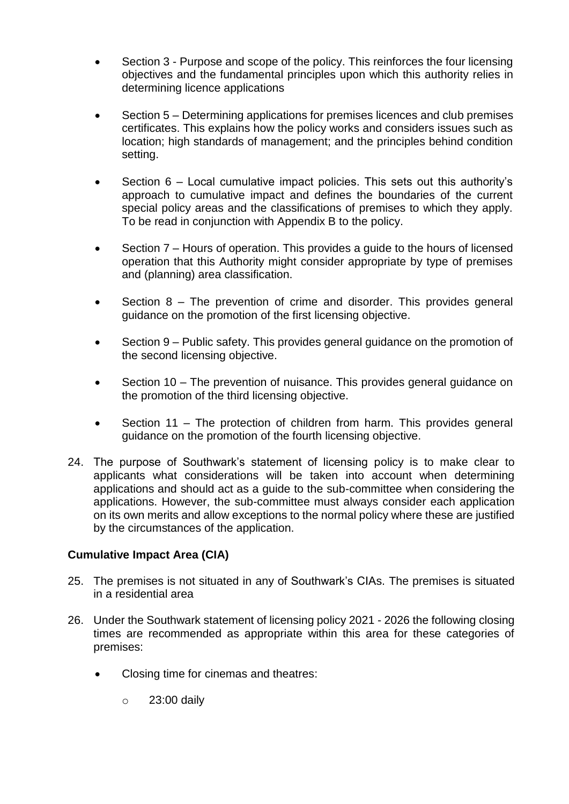- Section 3 Purpose and scope of the policy. This reinforces the four licensing objectives and the fundamental principles upon which this authority relies in determining licence applications
- Section 5 Determining applications for premises licences and club premises certificates. This explains how the policy works and considers issues such as location; high standards of management; and the principles behind condition setting.
- Section 6 Local cumulative impact policies. This sets out this authority's approach to cumulative impact and defines the boundaries of the current special policy areas and the classifications of premises to which they apply. To be read in conjunction with Appendix B to the policy.
- Section 7 Hours of operation. This provides a guide to the hours of licensed operation that this Authority might consider appropriate by type of premises and (planning) area classification.
- Section 8 The prevention of crime and disorder. This provides general guidance on the promotion of the first licensing objective.
- Section 9 Public safety. This provides general guidance on the promotion of the second licensing objective.
- Section 10 The prevention of nuisance. This provides general guidance on the promotion of the third licensing objective.
- Section 11 The protection of children from harm. This provides general guidance on the promotion of the fourth licensing objective.
- 24. The purpose of Southwark's statement of licensing policy is to make clear to applicants what considerations will be taken into account when determining applications and should act as a guide to the sub-committee when considering the applications. However, the sub-committee must always consider each application on its own merits and allow exceptions to the normal policy where these are justified by the circumstances of the application.

## **Cumulative Impact Area (CIA)**

- 25. The premises is not situated in any of Southwark's CIAs. The premises is situated in a residential area
- 26. Under the Southwark statement of licensing policy 2021 2026 the following closing times are recommended as appropriate within this area for these categories of premises:
	- Closing time for cinemas and theatres:
		- $\circ$  23:00 daily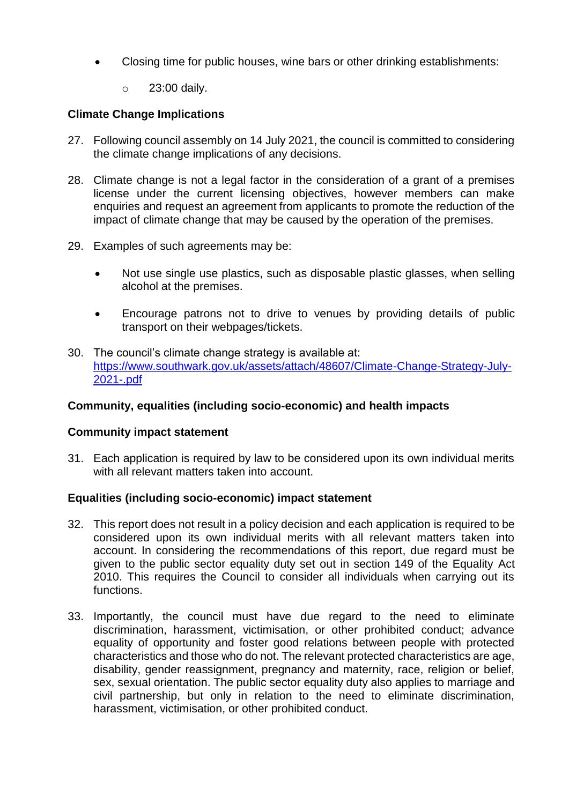- Closing time for public houses, wine bars or other drinking establishments:
	- o 23:00 daily.

## **Climate Change Implications**

- 27. Following council assembly on 14 July 2021, the council is committed to considering the climate change implications of any decisions.
- 28. Climate change is not a legal factor in the consideration of a grant of a premises license under the current licensing objectives, however members can make enquiries and request an agreement from applicants to promote the reduction of the impact of climate change that may be caused by the operation of the premises.
- 29. Examples of such agreements may be:
	- Not use single use plastics, such as disposable plastic glasses, when selling alcohol at the premises.
	- Encourage patrons not to drive to venues by providing details of public transport on their webpages/tickets.
- 30. The council's climate change strategy is available at: [https://www.southwark.gov.uk/assets/attach/48607/Climate-Change-Strategy-July-](https://www.southwark.gov.uk/assets/attach/48607/Climate-Change-Strategy-July-2021-.pdf)[2021-.pdf](https://www.southwark.gov.uk/assets/attach/48607/Climate-Change-Strategy-July-2021-.pdf)

### **Community, equalities (including socio-economic) and health impacts**

### **Community impact statement**

31. Each application is required by law to be considered upon its own individual merits with all relevant matters taken into account.

### **Equalities (including socio-economic) impact statement**

- 32. This report does not result in a policy decision and each application is required to be considered upon its own individual merits with all relevant matters taken into account. In considering the recommendations of this report, due regard must be given to the public sector equality duty set out in section 149 of the Equality Act 2010. This requires the Council to consider all individuals when carrying out its functions.
- 33. Importantly, the council must have due regard to the need to eliminate discrimination, harassment, victimisation, or other prohibited conduct; advance equality of opportunity and foster good relations between people with protected characteristics and those who do not. The relevant protected characteristics are age, disability, gender reassignment, pregnancy and maternity, race, religion or belief, sex, sexual orientation. The public sector equality duty also applies to marriage and civil partnership, but only in relation to the need to eliminate discrimination, harassment, victimisation, or other prohibited conduct.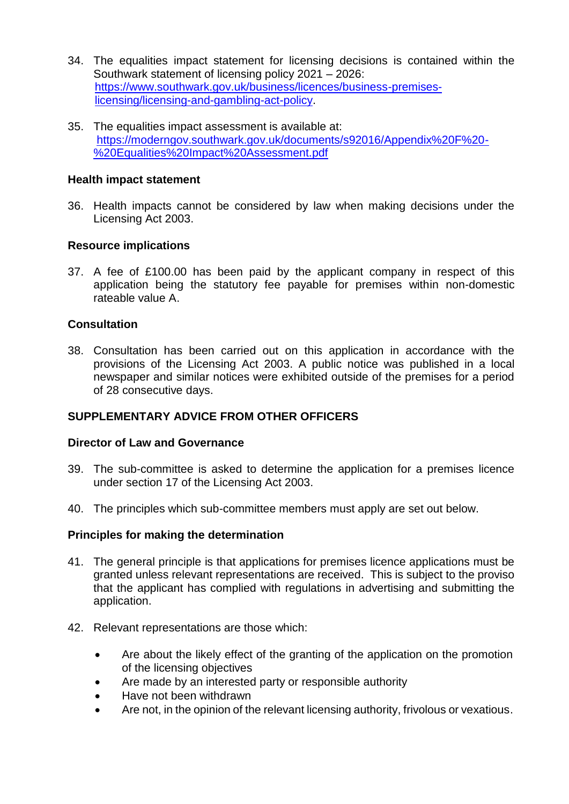- 34. The equalities impact statement for licensing decisions is contained within the Southwark statement of licensing policy 2021 – 2026: [https://www.southwark.gov.uk/business/licences/business-premises](https://www.southwark.gov.uk/business/licences/business-premises-licensing/licensing-and-gambling-act-policy)[licensing/licensing-and-gambling-act-policy.](https://www.southwark.gov.uk/business/licences/business-premises-licensing/licensing-and-gambling-act-policy)
- 35. The equalities impact assessment is available at: [https://moderngov.southwark.gov.uk/documents/s92016/Appendix%20F%20-](https://moderngov.southwark.gov.uk/documents/s92016/Appendix%20F%20-%20Equalities%20Impact%20Assessment.pdf) [%20Equalities%20Impact%20Assessment.pdf](https://moderngov.southwark.gov.uk/documents/s92016/Appendix%20F%20-%20Equalities%20Impact%20Assessment.pdf)

### **Health impact statement**

36. Health impacts cannot be considered by law when making decisions under the Licensing Act 2003.

### **Resource implications**

37. A fee of £100.00 has been paid by the applicant company in respect of this application being the statutory fee payable for premises within non-domestic rateable value A.

### **Consultation**

38. Consultation has been carried out on this application in accordance with the provisions of the Licensing Act 2003. A public notice was published in a local newspaper and similar notices were exhibited outside of the premises for a period of 28 consecutive days.

### **SUPPLEMENTARY ADVICE FROM OTHER OFFICERS**

#### **Director of Law and Governance**

- 39. The sub-committee is asked to determine the application for a premises licence under section 17 of the Licensing Act 2003.
- 40. The principles which sub-committee members must apply are set out below.

#### **Principles for making the determination**

- 41. The general principle is that applications for premises licence applications must be granted unless relevant representations are received. This is subject to the proviso that the applicant has complied with regulations in advertising and submitting the application.
- 42. Relevant representations are those which:
	- Are about the likely effect of the granting of the application on the promotion of the licensing objectives
	- Are made by an interested party or responsible authority
	- Have not been withdrawn
	- Are not, in the opinion of the relevant licensing authority, frivolous or vexatious.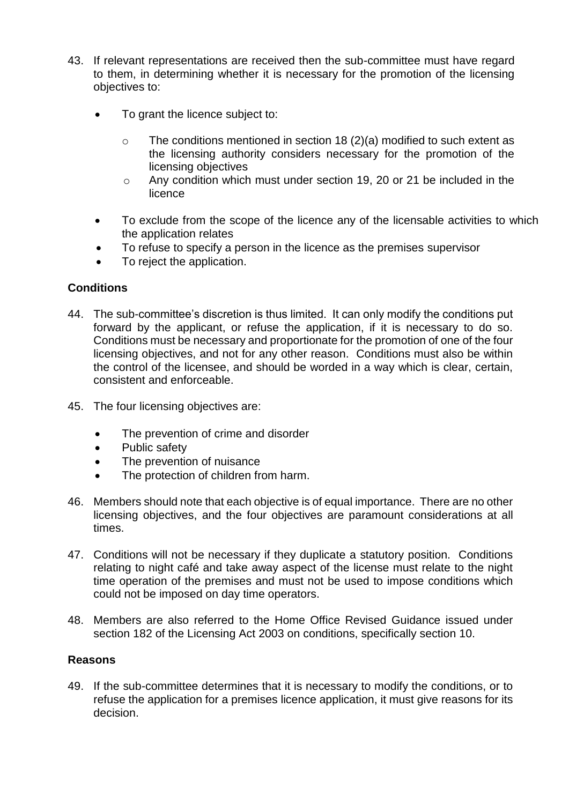- 43. If relevant representations are received then the sub-committee must have regard to them, in determining whether it is necessary for the promotion of the licensing objectives to:
	- To grant the licence subject to:
		- o The conditions mentioned in section 18 (2)(a) modified to such extent as the licensing authority considers necessary for the promotion of the licensing objectives
		- o Any condition which must under section 19, 20 or 21 be included in the licence
	- To exclude from the scope of the licence any of the licensable activities to which the application relates
	- To refuse to specify a person in the licence as the premises supervisor
	- To reject the application.

### **Conditions**

- 44. The sub-committee's discretion is thus limited. It can only modify the conditions put forward by the applicant, or refuse the application, if it is necessary to do so. Conditions must be necessary and proportionate for the promotion of one of the four licensing objectives, and not for any other reason. Conditions must also be within the control of the licensee, and should be worded in a way which is clear, certain, consistent and enforceable.
- 45. The four licensing objectives are:
	- The prevention of crime and disorder
	- Public safety
	- The prevention of nuisance
	- The protection of children from harm.
- 46. Members should note that each objective is of equal importance. There are no other licensing objectives, and the four objectives are paramount considerations at all times.
- 47. Conditions will not be necessary if they duplicate a statutory position. Conditions relating to night café and take away aspect of the license must relate to the night time operation of the premises and must not be used to impose conditions which could not be imposed on day time operators.
- 48. Members are also referred to the Home Office Revised Guidance issued under section 182 of the Licensing Act 2003 on conditions, specifically section 10.

### **Reasons**

49. If the sub-committee determines that it is necessary to modify the conditions, or to refuse the application for a premises licence application, it must give reasons for its decision.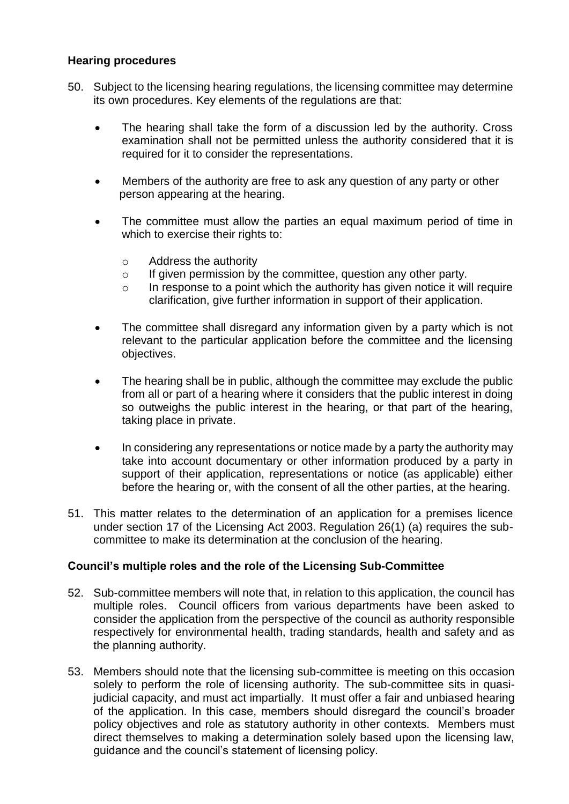### **Hearing procedures**

- 50. Subject to the licensing hearing regulations, the licensing committee may determine its own procedures. Key elements of the regulations are that:
	- The hearing shall take the form of a discussion led by the authority. Cross examination shall not be permitted unless the authority considered that it is required for it to consider the representations.
	- Members of the authority are free to ask any question of any party or other person appearing at the hearing.
	- The committee must allow the parties an equal maximum period of time in which to exercise their rights to:
		- o Address the authority
		- o If given permission by the committee, question any other party.
		- o In response to a point which the authority has given notice it will require clarification, give further information in support of their application.
	- The committee shall disregard any information given by a party which is not relevant to the particular application before the committee and the licensing objectives.
	- The hearing shall be in public, although the committee may exclude the public from all or part of a hearing where it considers that the public interest in doing so outweighs the public interest in the hearing, or that part of the hearing, taking place in private.
	- In considering any representations or notice made by a party the authority may take into account documentary or other information produced by a party in support of their application, representations or notice (as applicable) either before the hearing or, with the consent of all the other parties, at the hearing.
- 51. This matter relates to the determination of an application for a premises licence under section 17 of the Licensing Act 2003. Regulation 26(1) (a) requires the subcommittee to make its determination at the conclusion of the hearing.

## **Council's multiple roles and the role of the Licensing Sub-Committee**

- 52. Sub-committee members will note that, in relation to this application, the council has multiple roles. Council officers from various departments have been asked to consider the application from the perspective of the council as authority responsible respectively for environmental health, trading standards, health and safety and as the planning authority.
- 53. Members should note that the licensing sub-committee is meeting on this occasion solely to perform the role of licensing authority. The sub-committee sits in quasijudicial capacity, and must act impartially. It must offer a fair and unbiased hearing of the application. In this case, members should disregard the council's broader policy objectives and role as statutory authority in other contexts. Members must direct themselves to making a determination solely based upon the licensing law, guidance and the council's statement of licensing policy.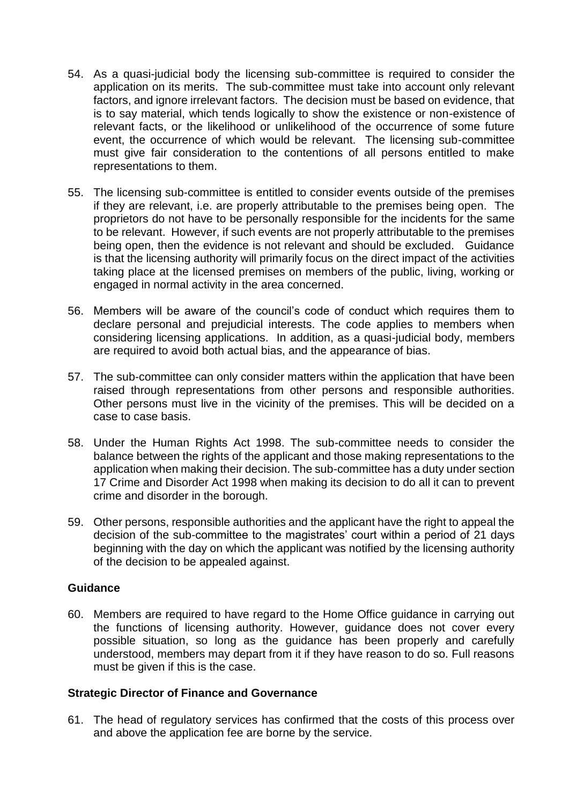- 54. As a quasi-judicial body the licensing sub-committee is required to consider the application on its merits. The sub-committee must take into account only relevant factors, and ignore irrelevant factors. The decision must be based on evidence, that is to say material, which tends logically to show the existence or non-existence of relevant facts, or the likelihood or unlikelihood of the occurrence of some future event, the occurrence of which would be relevant. The licensing sub-committee must give fair consideration to the contentions of all persons entitled to make representations to them.
- 55. The licensing sub-committee is entitled to consider events outside of the premises if they are relevant, i.e. are properly attributable to the premises being open. The proprietors do not have to be personally responsible for the incidents for the same to be relevant. However, if such events are not properly attributable to the premises being open, then the evidence is not relevant and should be excluded. Guidance is that the licensing authority will primarily focus on the direct impact of the activities taking place at the licensed premises on members of the public, living, working or engaged in normal activity in the area concerned.
- 56. Members will be aware of the council's code of conduct which requires them to declare personal and prejudicial interests. The code applies to members when considering licensing applications. In addition, as a quasi-judicial body, members are required to avoid both actual bias, and the appearance of bias.
- 57. The sub-committee can only consider matters within the application that have been raised through representations from other persons and responsible authorities. Other persons must live in the vicinity of the premises. This will be decided on a case to case basis.
- 58. Under the Human Rights Act 1998. The sub-committee needs to consider the balance between the rights of the applicant and those making representations to the application when making their decision. The sub-committee has a duty under section 17 Crime and Disorder Act 1998 when making its decision to do all it can to prevent crime and disorder in the borough.
- 59. Other persons, responsible authorities and the applicant have the right to appeal the decision of the sub-committee to the magistrates' court within a period of 21 days beginning with the day on which the applicant was notified by the licensing authority of the decision to be appealed against.

### **Guidance**

60. Members are required to have regard to the Home Office guidance in carrying out the functions of licensing authority. However, guidance does not cover every possible situation, so long as the guidance has been properly and carefully understood, members may depart from it if they have reason to do so. Full reasons must be given if this is the case.

#### **Strategic Director of Finance and Governance**

61. The head of regulatory services has confirmed that the costs of this process over and above the application fee are borne by the service.